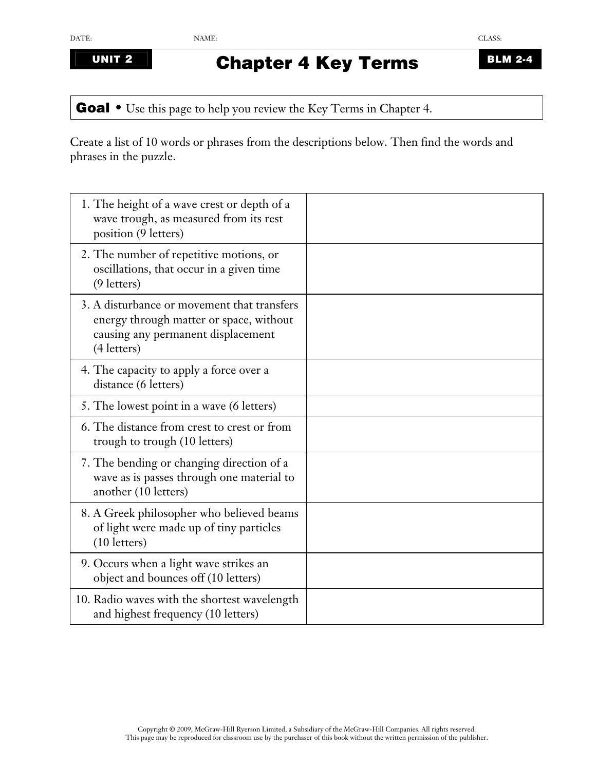## **UNIT 2 Chapter 4 Key Terms BLM 2-4**

Goal • Use this page to help you review the Key Terms in Chapter 4.

Create a list of 10 words or phrases from the descriptions below. Then find the words and phrases in the puzzle.

| 1. The height of a wave crest or depth of a<br>wave trough, as measured from its rest<br>position (9 letters)                               |  |
|---------------------------------------------------------------------------------------------------------------------------------------------|--|
| 2. The number of repetitive motions, or<br>oscillations, that occur in a given time<br>$(9$ letters)                                        |  |
| 3. A disturbance or movement that transfers<br>energy through matter or space, without<br>causing any permanent displacement<br>(4 letters) |  |
| 4. The capacity to apply a force over a<br>distance (6 letters)                                                                             |  |
| 5. The lowest point in a wave (6 letters)                                                                                                   |  |
| 6. The distance from crest to crest or from<br>trough to trough (10 letters)                                                                |  |
| 7. The bending or changing direction of a<br>wave as is passes through one material to<br>another (10 letters)                              |  |
| 8. A Greek philosopher who believed beams<br>of light were made up of tiny particles<br>(10 letters)                                        |  |
| 9. Occurs when a light wave strikes an<br>object and bounces off (10 letters)                                                               |  |
| 10. Radio waves with the shortest wavelength<br>and highest frequency (10 letters)                                                          |  |